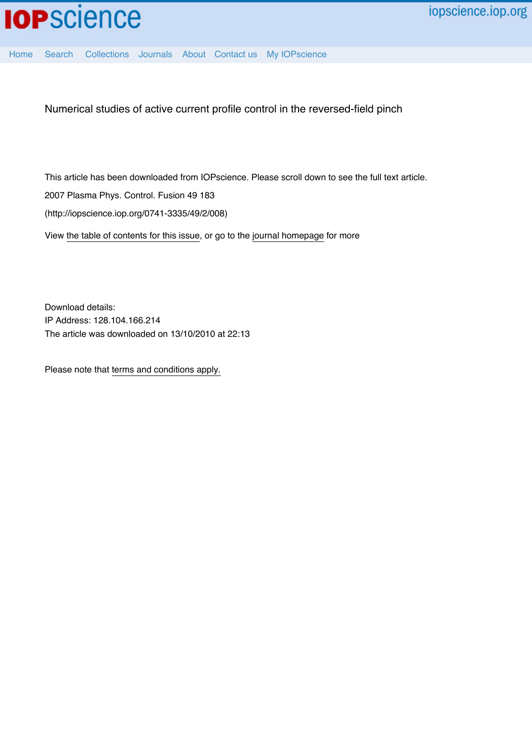

[Home](http://iopscience.iop.org/) [Search](http://iopscience.iop.org/search) [Collections](http://iopscience.iop.org/collections) [Journals](http://iopscience.iop.org/journals) [About](http://iopscience.iop.org/page/aboutioppublishing) [Contact us](http://iopscience.iop.org/contact) [My IOPscience](http://iopscience.iop.org/myiopscience)

Numerical studies of active current profile control in the reversed-field pinch

This article has been downloaded from IOPscience. Please scroll down to see the full text article.

2007 Plasma Phys. Control. Fusion 49 183

(http://iopscience.iop.org/0741-3335/49/2/008)

View [the table of contents for this issue](http://iopscience.iop.org/0741-3335/49/2), or go to the [journal homepage](http://iopscience.iop.org/0741-3335) for more

Download details: IP Address: 128.104.166.214 The article was downloaded on 13/10/2010 at 22:13

Please note that [terms and conditions apply.](http://iopscience.iop.org/page/terms)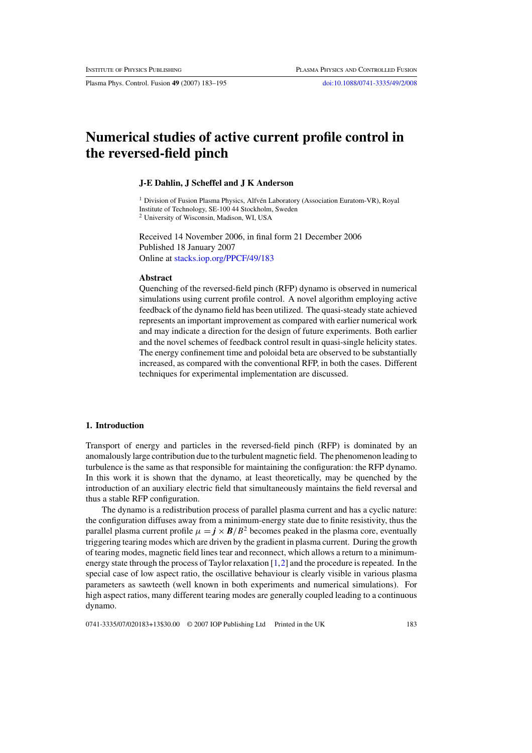Plasma Phys. Control. Fusion **49** (2007) 183–195 [doi:10.1088/0741-3335/49/2/008](http://dx.doi.org/10.1088/0741-3335/49/2/008)

# **Numerical studies of active current profile control in the reversed-field pinch**

#### **J-E Dahlin, J Scheffel and J K Anderson**

<sup>1</sup> Division of Fusion Plasma Physics, Alfvén Laboratory (Association Euratom-VR), Royal Institute of Technology, SE-100 44 Stockholm, Sweden <sup>2</sup> University of Wisconsin, Madison, WI, USA

Received 14 November 2006, in final form 21 December 2006 Published 18 January 2007 Online at [stacks.iop.org/PPCF/49/183](http://stacks.iop.org/pp/49/183)

#### **Abstract**

Quenching of the reversed-field pinch (RFP) dynamo is observed in numerical simulations using current profile control. A novel algorithm employing active feedback of the dynamo field has been utilized. The quasi-steady state achieved represents an important improvement as compared with earlier numerical work and may indicate a direction for the design of future experiments. Both earlier and the novel schemes of feedback control result in quasi-single helicity states. The energy confinement time and poloidal beta are observed to be substantially increased, as compared with the conventional RFP, in both the cases. Different techniques for experimental implementation are discussed.

# **1. Introduction**

Transport of energy and particles in the reversed-field pinch (RFP) is dominated by an anomalously large contribution due to the turbulent magnetic field. The phenomenon leading to turbulence is the same as that responsible for maintaining the configuration: the RFP dynamo. In this work it is shown that the dynamo, at least theoretically, may be quenched by the introduction of an auxiliary electric field that simultaneously maintains the field reversal and thus a stable RFP configuration.

The dynamo is a redistribution process of parallel plasma current and has a cyclic nature: the configuration diffuses away from a minimum-energy state due to finite resistivity, thus the parallel plasma current profile  $\mu = \mathbf{j} \times \mathbf{B}/B^2$  becomes peaked in the plasma core, eventually triggering tearing modes which are driven by the gradient in plasma current. During the growth of tearing modes, magnetic field lines tear and reconnect, which allows a return to a minimumenergy state through the process of Taylor relaxation [\[1,](#page-13-0)[2\]](#page-13-1) and the procedure is repeated. In the special case of low aspect ratio, the oscillative behaviour is clearly visible in various plasma parameters as sawteeth (well known in both experiments and numerical simulations). For high aspect ratios, many different tearing modes are generally coupled leading to a continuous dynamo.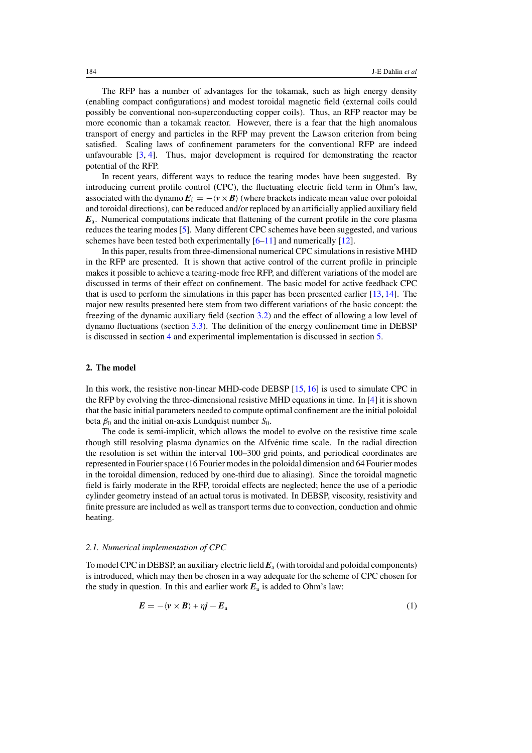The RFP has a number of advantages for the tokamak, such as high energy density (enabling compact configurations) and modest toroidal magnetic field (external coils could possibly be conventional non-superconducting copper coils). Thus, an RFP reactor may be more economic than a tokamak reactor. However, there is a fear that the high anomalous transport of energy and particles in the RFP may prevent the Lawson criterion from being satisfied. Scaling laws of confinement parameters for the conventional RFP are indeed unfavourable  $[3, 4]$  $[3, 4]$  $[3, 4]$ . Thus, major development is required for demonstrating the reactor potential of the RFP.

In recent years, different ways to reduce the tearing modes have been suggested. By introducing current profile control (CPC), the fluctuating electric field term in Ohm's law, associated with the dynamo  $E_f = -\langle v \times B \rangle$  (where brackets indicate mean value over poloidal and toroidal directions), can be reduced and/or replaced by an artificially applied auxiliary field *E*a. Numerical computations indicate that flattening of the current profile in the core plasma reduces the tearing modes [\[5\]](#page-13-4). Many different CPC schemes have been suggested, and various schemes have been tested both experimentally  $[6-11]$  $[6-11]$  and numerically  $[12]$ .

In this paper, results from three-dimensional numerical CPC simulations in resistive MHD in the RFP are presented. It is shown that active control of the current profile in principle makes it possible to achieve a tearing-mode free RFP, and different variations of the model are discussed in terms of their effect on confinement. The basic model for active feedback CPC that is used to perform the simulations in this paper has been presented earlier [\[13,](#page-13-8) [14\]](#page-13-9). The major new results presented here stem from two different variations of the basic concept: the freezing of the dynamic auxiliary field (section [3.2\)](#page-5-0) and the effect of allowing a low level of dynamo fluctuations (section [3.3\)](#page-6-0). The definition of the energy confinement time in DEBSP is discussed in section [4](#page-8-0) and experimental implementation is discussed in section [5.](#page-10-0)

## **2. The model**

In this work, the resistive non-linear MHD-code DEBSP [\[15,](#page-13-10) [16\]](#page-13-11) is used to simulate CPC in the RFP by evolving the three-dimensional resistive MHD equations in time. In [\[4\]](#page-13-3) it is shown that the basic initial parameters needed to compute optimal confinement are the initial poloidal beta  $\beta_0$  and the initial on-axis Lundquist number  $S_0$ .

The code is semi-implicit, which allows the model to evolve on the resistive time scale though still resolving plasma dynamics on the Alfvénic time scale. In the radial direction the resolution is set within the interval 100–300 grid points, and periodical coordinates are represented in Fourier space (16 Fourier modes in the poloidal dimension and 64 Fourier modes in the toroidal dimension, reduced by one-third due to aliasing). Since the toroidal magnetic field is fairly moderate in the RFP, toroidal effects are neglected; hence the use of a periodic cylinder geometry instead of an actual torus is motivated. In DEBSP, viscosity, resistivity and finite pressure are included as well as transport terms due to convection, conduction and ohmic heating.

#### *2.1. Numerical implementation of CPC*

To model CPC in DEBSP, an auxiliary electric field  $E_a$  (with toroidal and poloidal components) is introduced, which may then be chosen in a way adequate for the scheme of CPC chosen for the study in question. In this and earlier work  $E_a$  is added to Ohm's law:

$$
E = -\langle v \times B \rangle + \eta j - E_{\rm a} \tag{1}
$$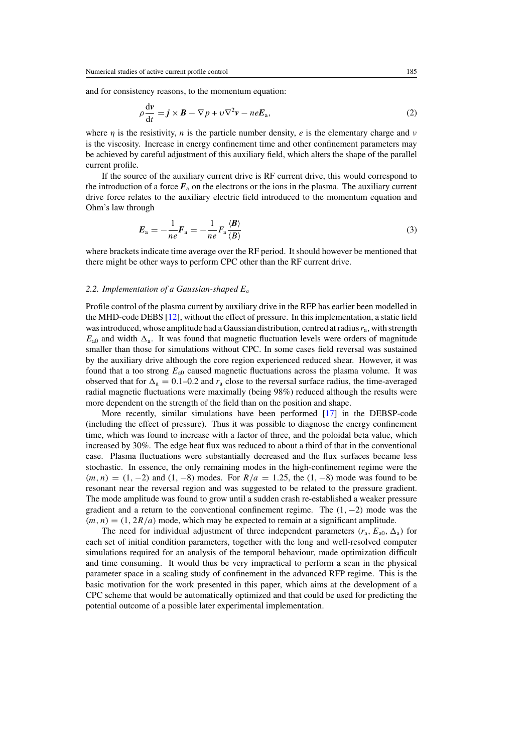and for consistency reasons, to the momentum equation:

$$
\rho \frac{\mathrm{d} \nu}{\mathrm{d} t} = \mathbf{j} \times \mathbf{B} - \nabla p + \nu \nabla^2 \nu - n e \mathbf{E}_a,\tag{2}
$$

where *n* is the resistivity, *n* is the particle number density, *e* is the elementary charge and *v* is the viscosity. Increase in energy confinement time and other confinement parameters may be achieved by careful adjustment of this auxiliary field, which alters the shape of the parallel current profile.

If the source of the auxiliary current drive is RF current drive, this would correspond to the introduction of a force  $F_a$  on the electrons or the ions in the plasma. The auxiliary current drive force relates to the auxiliary electric field introduced to the momentum equation and Ohm's law through

$$
E_{\rm a} = -\frac{1}{ne} F_{\rm a} = -\frac{1}{ne} F_{\rm a} \frac{\langle B \rangle}{\langle B \rangle} \tag{3}
$$

where brackets indicate time average over the RF period. It should however be mentioned that there might be other ways to perform CPC other than the RF current drive.

## *2.2. Implementation of a Gaussian-shaped E*<sup>a</sup>

Profile control of the plasma current by auxiliary drive in the RFP has earlier been modelled in the MHD-code DEBS [\[12\]](#page-13-7), without the effect of pressure. In this implementation, a static field was introduced, whose amplitude had a Gaussian distribution, centred at radius  $r_a$ , with strength  $E_{a0}$  and width  $\Delta_a$ . It was found that magnetic fluctuation levels were orders of magnitude smaller than those for simulations without CPC. In some cases field reversal was sustained by the auxiliary drive although the core region experienced reduced shear. However, it was found that a too strong  $E_{a0}$  caused magnetic fluctuations across the plasma volume. It was observed that for  $\Delta_a = 0.1$ –0.2 and  $r_a$  close to the reversal surface radius, the time-averaged radial magnetic fluctuations were maximally (being 98%) reduced although the results were more dependent on the strength of the field than on the position and shape.

More recently, similar simulations have been performed [\[17\]](#page-13-12) in the DEBSP-code (including the effect of pressure). Thus it was possible to diagnose the energy confinement time, which was found to increase with a factor of three, and the poloidal beta value, which increased by 30%. The edge heat flux was reduced to about a third of that in the conventional case. Plasma fluctuations were substantially decreased and the flux surfaces became less stochastic. In essence, the only remaining modes in the high-confinement regime were the  $(m, n) = (1, -2)$  and  $(1, -8)$  modes. For  $R/a = 1.25$ , the  $(1, -8)$  mode was found to be resonant near the reversal region and was suggested to be related to the pressure gradient. The mode amplitude was found to grow until a sudden crash re-established a weaker pressure gradient and a return to the conventional confinement regime. The  $(1, -2)$  mode was the  $(m, n) = (1, 2R/a)$  mode, which may be expected to remain at a significant amplitude.

The need for individual adjustment of three independent parameters  $(r_a, E_{a0}, \Delta_a)$  for each set of initial condition parameters, together with the long and well-resolved computer simulations required for an analysis of the temporal behaviour, made optimization difficult and time consuming. It would thus be very impractical to perform a scan in the physical parameter space in a scaling study of confinement in the advanced RFP regime. This is the basic motivation for the work presented in this paper, which aims at the development of a CPC scheme that would be automatically optimized and that could be used for predicting the potential outcome of a possible later experimental implementation.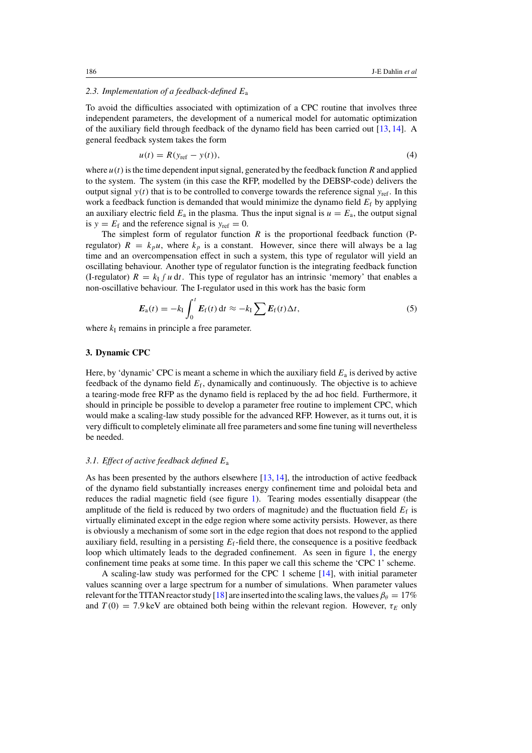#### *2.3. Implementation of a feedback-defined* E<sup>a</sup>

To avoid the difficulties associated with optimization of a CPC routine that involves three independent parameters, the development of a numerical model for automatic optimization of the auxiliary field through feedback of the dynamo field has been carried out [\[13,](#page-13-8) [14\]](#page-13-9). A general feedback system takes the form

$$
u(t) = R(y_{\text{ref}} - y(t)),\tag{4}
$$

where  $u(t)$  is the time dependent input signal, generated by the feedback function R and applied to the system. The system (in this case the RFP, modelled by the DEBSP-code) delivers the output signal  $y(t)$  that is to be controlled to converge towards the reference signal  $y_{ref}$ . In this work a feedback function is demanded that would minimize the dynamo field  $E_f$  by applying an auxiliary electric field  $E_a$  in the plasma. Thus the input signal is  $u = E_a$ , the output signal is  $y = E_f$  and the reference signal is  $y_{ref} = 0$ .

The simplest form of regulator function  $R$  is the proportional feedback function (Pregulator)  $R = k_p u$ , where  $k_p$  is a constant. However, since there will always be a lag time and an overcompensation effect in such a system, this type of regulator will yield an oscillating behaviour. Another type of regulator function is the integrating feedback function (I-regulator)  $R = k_1 f u dt$ . This type of regulator has an intrinsic 'memory' that enables a non-oscillative behaviour. The I-regulator used in this work has the basic form

$$
E_{\rm a}(t) = -k_{\rm I} \int_0^t E_{\rm f}(t) \, \mathrm{d}t \approx -k_{\rm I} \sum E_{\rm f}(t) \Delta t, \tag{5}
$$

where  $k<sub>I</sub>$  remains in principle a free parameter.

# **3. Dynamic CPC**

<span id="page-4-0"></span>Here, by 'dynamic' CPC is meant a scheme in which the auxiliary field  $E_a$  is derived by active feedback of the dynamo field  $E_f$ , dynamically and continuously. The objective is to achieve a tearing-mode free RFP as the dynamo field is replaced by the ad hoc field. Furthermore, it should in principle be possible to develop a parameter free routine to implement CPC, which would make a scaling-law study possible for the advanced RFP. However, as it turns out, it is very difficult to completely eliminate all free parameters and some fine tuning will nevertheless be needed.

#### *3.1. Effect of active feedback defined* E<sup>a</sup>

As has been presented by the authors elsewhere [\[13,](#page-13-8) [14\]](#page-13-9), the introduction of active feedback of the dynamo field substantially increases energy confinement time and poloidal beta and reduces the radial magnetic field (see figure [1\)](#page-5-1). Tearing modes essentially disappear (the amplitude of the field is reduced by two orders of magnitude) and the fluctuation field  $E_f$  is virtually eliminated except in the edge region where some activity persists. However, as there is obviously a mechanism of some sort in the edge region that does not respond to the applied auxiliary field, resulting in a persisting  $E_f$ -field there, the consequence is a positive feedback loop which ultimately leads to the degraded confinement. As seen in figure [1,](#page-5-1) the energy confinement time peaks at some time. In this paper we call this scheme the 'CPC 1' scheme.

A scaling-law study was performed for the CPC 1 scheme [\[14\]](#page-13-9), with initial parameter values scanning over a large spectrum for a number of simulations. When parameter values relevant for the TITAN reactor study [\[18\]](#page-13-13) are inserted into the scaling laws, the values  $\beta_{\theta} = 17\%$ and  $T(0) = 7.9$  keV are obtained both being within the relevant region. However,  $\tau_E$  only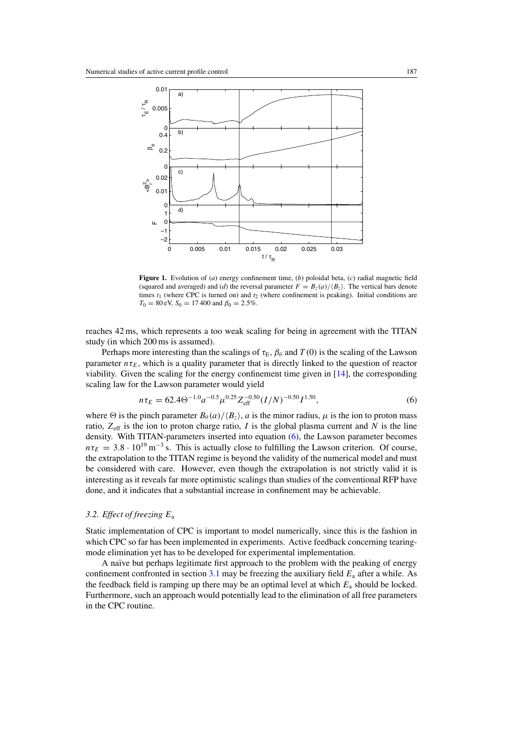<span id="page-5-1"></span>

**Figure 1.** Evolution of (*a*) energy confinement time, (*b*) poloidal beta, (*c*) radial magnetic field (squared and averaged) and (*d*) the reversal parameter  $F = B_z(a)/\langle B_z \rangle$ . The vertical bars denote times  $t_1$  (where CPC is turned on) and  $t_2$  (where confinement is peaking). Initial conditions are  $T_0 = 80$  eV,  $S_0 = 17400$  and  $\beta_0 = 2.5\%$ .

<span id="page-5-2"></span>reaches 42 ms, which represents a too weak scaling for being in agreement with the TITAN study (in which 200 ms is assumed).

Perhaps more interesting than the scalings of  $\tau_E$ ,  $\beta_\theta$  and  $T(0)$  is the scaling of the Lawson parameter  $n\tau_E$ , which is a quality parameter that is directly linked to the question of reactor viability. Given the scaling for the energy confinement time given in [\[14\]](#page-13-9), the corresponding scaling law for the Lawson parameter would yield

$$
n\tau_E = 62.4\Theta^{-1.0}a^{-0.5}\mu^{0.25}Z_{\text{eff}}^{-0.50}(I/N)^{-0.50}I^{1.50},\tag{6}
$$

<span id="page-5-0"></span>where  $\Theta$  is the pinch parameter  $B_\theta(a)/\langle B_z \rangle$ , a is the minor radius,  $\mu$  is the ion to proton mass ratio,  $Z_{\text{eff}}$  is the ion to proton charge ratio, I is the global plasma current and N is the line density. With TITAN-parameters inserted into equation [\(6\)](#page-5-2), the Lawson parameter becomes  $n\tau_E = 3.8 \cdot 10^{19} \,\text{m}^{-3}$  s. This is actually close to fulfilling the Lawson criterion. Of course, the extrapolation to the TITAN regime is beyond the validity of the numerical model and must be considered with care. However, even though the extrapolation is not strictly valid it is interesting as it reveals far more optimistic scalings than studies of the conventional RFP have done, and it indicates that a substantial increase in confinement may be achievable.

# *3.2. Effect of freezing* E<sup>a</sup>

Static implementation of CPC is important to model numerically, since this is the fashion in which CPC so far has been implemented in experiments. Active feedback concerning tearingmode elimination yet has to be developed for experimental implementation.

A naïve but perhaps legitimate first approach to the problem with the peaking of energy confinement confronted in section  $3.1$  may be freezing the auxiliary field  $E_a$  after a while. As the feedback field is ramping up there may be an optimal level at which  $E_a$  should be locked. Furthermore, such an approach would potentially lead to the elimination of all free parameters in the CPC routine.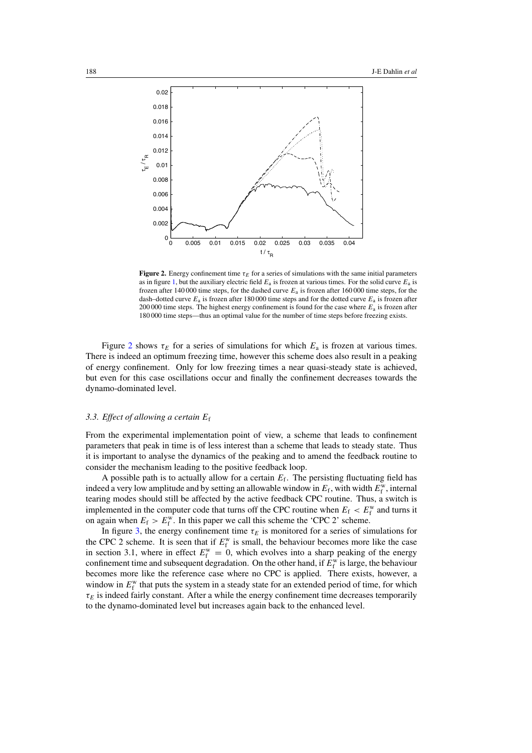<span id="page-6-1"></span>

**Figure 2.** Energy confinement time  $\tau_E$  for a series of simulations with the same initial parameters as in figure [1,](#page-5-1) but the auxiliary electric field  $E_a$  is frozen at various times. For the solid curve  $E_a$  is frozen after 140 000 time steps, for the dashed curve  $E_a$  is frozen after 160 000 time steps, for the dash–dotted curve  $E_a$  is frozen after 180 000 time steps and for the dotted curve  $E_a$  is frozen after 200 000 time steps. The highest energy confinement is found for the case where  $E_a$  is frozen after 180 000 time steps—thus an optimal value for the number of time steps before freezing exists.

<span id="page-6-0"></span>Figure [2](#page-6-1) shows  $\tau_E$  for a series of simulations for which  $E_a$  is frozen at various times. There is indeed an optimum freezing time, however this scheme does also result in a peaking of energy confinement. Only for low freezing times a near quasi-steady state is achieved, but even for this case oscillations occur and finally the confinement decreases towards the dynamo-dominated level.

## *3.3. Effect of allowing a certain* E<sup>f</sup>

From the experimental implementation point of view, a scheme that leads to confinement parameters that peak in time is of less interest than a scheme that leads to steady state. Thus it is important to analyse the dynamics of the peaking and to amend the feedback routine to consider the mechanism leading to the positive feedback loop.

A possible path is to actually allow for a certain  $E_f$ . The persisting fluctuating field has indeed a very low amplitude and by setting an allowable window in  $E_f$ , with width  $E_f^w$ , internal tearing modes should still be affected by the active feedback CPC routine. Thus, a switch is implemented in the computer code that turns off the CPC routine when  $E_f < E_f^{\rm w}$  and turns it on again when  $E_f > E_f^w$ . In this paper we call this scheme the 'CPC 2' scheme.

In figure [3,](#page-7-0) the energy confinement time  $\tau_E$  is monitored for a series of simulations for the CPC 2 scheme. It is seen that if  $E_f^{\text{w}}$  is small, the behaviour becomes more like the case in section 3.1, where in effect  $E_f^w = 0$ , which evolves into a sharp peaking of the energy confinement time and subsequent degradation. On the other hand, if  $E_f^w$  is large, the behaviour becomes more like the reference case where no CPC is applied. There exists, however, a window in  $E_f^w$  that puts the system in a steady state for an extended period of time, for which  $\tau_E$  is indeed fairly constant. After a while the energy confinement time decreases temporarily to the dynamo-dominated level but increases again back to the enhanced level.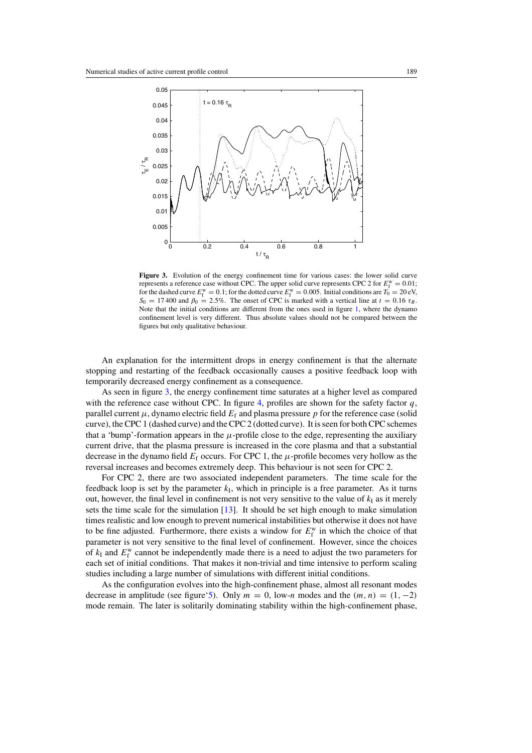<span id="page-7-0"></span>

Figure 3. Evolution of the energy confinement time for various cases: the lower solid curve represents a reference case without CPC. The upper solid curve represents CPC 2 for  $E_f^{\text{w}} = 0.01$ ; for the dashed curve  $E_f^w = 0.1$ ; for the dotted curve  $E_f^w = 0.005$ . Initial conditions are  $T_0 = 20$  eV,  $S_0 = 17400$  and  $\beta_0 = 2.5\%$ . The onset of CPC is marked with a vertical line at  $t = 0.16 \tau_R$ . Note that the initial conditions are different from the ones used in figure [1,](#page-5-1) where the dynamo confinement level is very different. Thus absolute values should not be compared between the figures but only qualitative behaviour.

An explanation for the intermittent drops in energy confinement is that the alternate stopping and restarting of the feedback occasionally causes a positive feedback loop with temporarily decreased energy confinement as a consequence.

As seen in figure [3,](#page-7-0) the energy confinement time saturates at a higher level as compared with the reference case without CPC. In figure [4,](#page-8-1) profiles are shown for the safety factor  $q$ , parallel current  $\mu$ , dynamo electric field  $E_f$  and plasma pressure p for the reference case (solid curve), the CPC 1 (dashed curve) and the CPC 2 (dotted curve). It is seen for both CPC schemes that a 'bump'-formation appears in the  $\mu$ -profile close to the edge, representing the auxiliary current drive, that the plasma pressure is increased in the core plasma and that a substantial decrease in the dynamo field  $E_f$  occurs. For CPC 1, the  $\mu$ -profile becomes very hollow as the reversal increases and becomes extremely deep. This behaviour is not seen for CPC 2.

For CPC 2, there are two associated independent parameters. The time scale for the feedback loop is set by the parameter  $k<sub>I</sub>$ , which in principle is a free parameter. As it turns out, however, the final level in confinement is not very sensitive to the value of  $k<sub>I</sub>$  as it merely sets the time scale for the simulation [\[13\]](#page-13-8). It should be set high enough to make simulation times realistic and low enough to prevent numerical instabilities but otherwise it does not have to be fine adjusted. Furthermore, there exists a window for  $E_f^w$  in which the choice of that parameter is not very sensitive to the final level of confinement. However, since the choices of  $k_I$  and  $E_f^w$  cannot be independently made there is a need to adjust the two parameters for each set of initial conditions. That makes it non-trivial and time intensive to perform scaling studies including a large number of simulations with different initial conditions.

As the configuration evolves into the high-confinement phase, almost all resonant modes decrease in amplitude (see figure['5\)](#page-9-0). Only  $m = 0$ , low-n modes and the  $(m, n) = (1, -2)$ mode remain. The later is solitarily dominating stability within the high-confinement phase,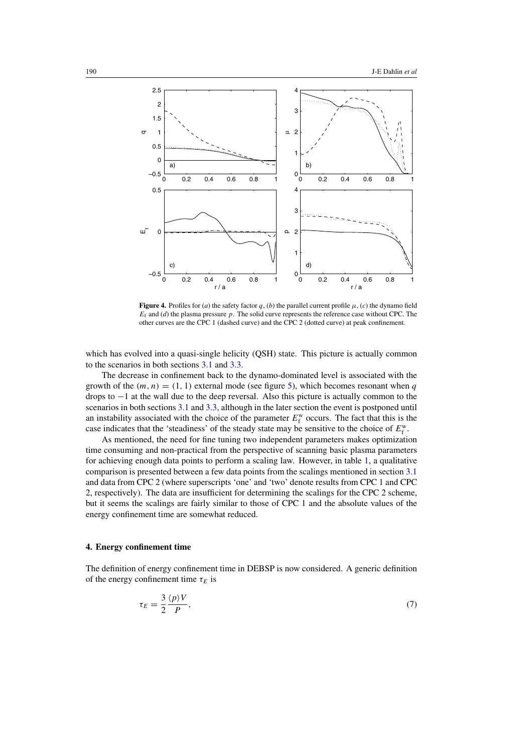<span id="page-8-1"></span>

**Figure 4.** Profiles for (*a*) the safety factor q, (*b*) the parallel current profile  $\mu$ , (*c*) the dynamo field  $E_f$  and (*d*) the plasma pressure  $p$ . The solid curve represents the reference case without CPC. The other curves are the CPC 1 (dashed curve) and the CPC 2 (dotted curve) at peak confinement.

which has evolved into a quasi-single helicity (QSH) state. This picture is actually common to the scenarios in both sections [3.1](#page-4-0) and [3.3.](#page-6-0)

The decrease in confinement back to the dynamo-dominated level is associated with the growth of the  $(m, n) = (1, 1)$  external mode (see figure [5\)](#page-9-0), which becomes resonant when q drops to −1 at the wall due to the deep reversal. Also this picture is actually common to the scenarios in both sections [3.1](#page-4-0) and [3.3,](#page-6-0) although in the later section the event is postponed until an instability associated with the choice of the parameter  $E_f^{\text{w}}$  occurs. The fact that this is the case indicates that the 'steadiness' of the steady state may be sensitive to the choice of  $E_f^w$ .

<span id="page-8-0"></span>As mentioned, the need for fine tuning two independent parameters makes optimization time consuming and non-practical from the perspective of scanning basic plasma parameters for achieving enough data points to perform a scaling law. However, in table [1,](#page-9-1) a qualitative comparison is presented between a few data points from the scalings mentioned in section [3.1](#page-4-0) and data from CPC 2 (where superscripts 'one' and 'two' denote results from CPC 1 and CPC 2, respectively). The data are insufficient for determining the scalings for the CPC 2 scheme, but it seems the scalings are fairly similar to those of CPC 1 and the absolute values of the energy confinement time are somewhat reduced.

#### **4. Energy confinement time**

The definition of energy confinement time in DEBSP is now considered. A generic definition of the energy confinement time  $\tau_E$  is

$$
\tau_E = \frac{3}{2} \frac{\langle p \rangle V}{P},\tag{7}
$$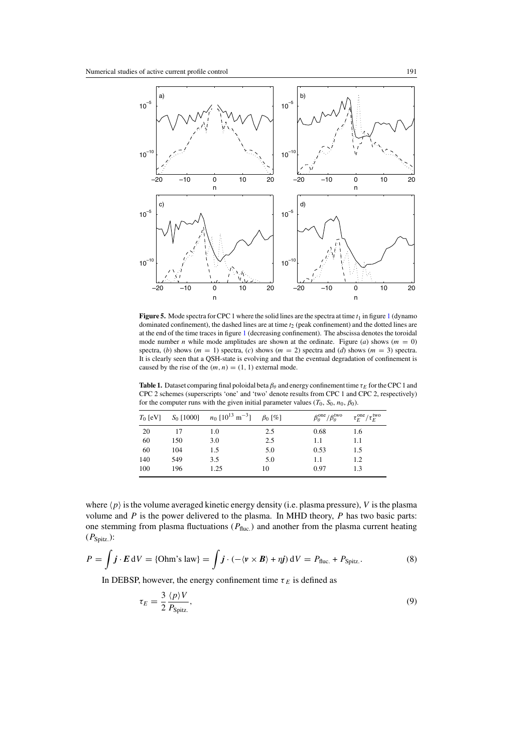<span id="page-9-0"></span>

<span id="page-9-1"></span>**Figure 5.** Mode spectra for CPC [1](#page-5-1) where the solid lines are the spectra at time  $t_1$  in figure 1 (dynamo dominated confinement), the dashed lines are at time  $t_2$  (peak confinement) and the dotted lines are at the end of the time traces in figure [1](#page-5-1) (decreasing confinement). The abscissa denotes the toroidal mode number *n* while mode amplitudes are shown at the ordinate. Figure (*a*) shows ( $m = 0$ ) spectra, (*b*) shows ( $m = 1$ ) spectra, (*c*) shows ( $m = 2$ ) spectra and (*d*) shows ( $m = 3$ ) spectra. It is clearly seen that a QSH-state is evolving and that the eventual degradation of confinement is caused by the rise of the  $(m, n) = (1, 1)$  external mode.

**Table 1.** Dataset comparing final poloidal beta  $\beta_\theta$  and energy confinement time  $\tau_E$  for the CPC 1 and CPC 2 schemes (superscripts 'one' and 'two' denote results from CPC 1 and CPC 2, respectively) for the computer runs with the given initial parameter values ( $T_0$ ,  $S_0$ ,  $n_0$ ,  $\beta_0$ ).

| $T_0$ [eV] | $S_0$ [1000] | $n_0$ [10 <sup>13</sup> m <sup>-3</sup> ] | $\beta_0$ [%] | $\beta_{\theta}^{\text{one}}/\beta_{\theta}^{\text{two}}$ | $\tau_E^{\rm one}/\tau_E^{\rm two}$ |
|------------|--------------|-------------------------------------------|---------------|-----------------------------------------------------------|-------------------------------------|
| 20         | 17           | 1.0                                       | 2.5           | 0.68                                                      | 1.6                                 |
| 60         | 150          | 3.0                                       | 2.5           | 1.1                                                       | 1.1                                 |
| 60         | 104          | 1.5                                       | 5.0           | 0.53                                                      | 1.5                                 |
| 140        | 549          | 3.5                                       | 5.0           | 1.1                                                       | 1.2                                 |
| 100        | 196          | 1.25                                      | 10            | 0.97                                                      | 1.3                                 |

<span id="page-9-2"></span>where  $\langle p \rangle$  is the volume averaged kinetic energy density (i.e. plasma pressure), V is the plasma volume and  $P$  is the power delivered to the plasma. In MHD theory,  $P$  has two basic parts: one stemming from plasma fluctuations ( $P_{\text{fluc.}}$ ) and another from the plasma current heating  $(P_{Spitz.})$ :

$$
P = \int \boldsymbol{j} \cdot \boldsymbol{E} \, dV = \{ \text{Ohm's law} \} = \int \boldsymbol{j} \cdot (-\langle \boldsymbol{v} \times \boldsymbol{B} \rangle + \eta \boldsymbol{j}) \, dV = P_{\text{fluc.}} + P_{\text{Spitz.}}.
$$
 (8)

In DEBSP, however, the energy confinement time  $\tau_E$  is defined as

$$
\tau_E = \frac{3}{2} \frac{\langle p \rangle V}{P_{\text{Spitz.}}},\tag{9}
$$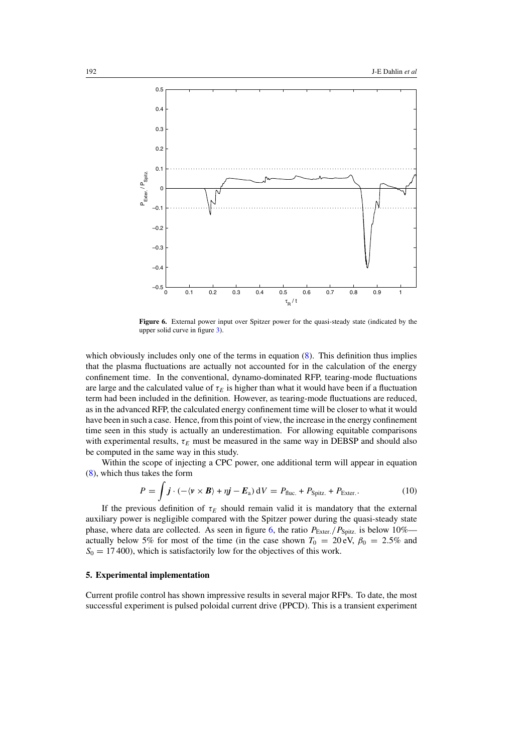<span id="page-10-1"></span>

**Figure 6.** External power input over Spitzer power for the quasi-steady state (indicated by the upper solid curve in figure [3\)](#page-7-0).

which obviously includes only one of the terms in equation  $(8)$ . This definition thus implies that the plasma fluctuations are actually not accounted for in the calculation of the energy confinement time. In the conventional, dynamo-dominated RFP, tearing-mode fluctuations are large and the calculated value of  $\tau_E$  is higher than what it would have been if a fluctuation term had been included in the definition. However, as tearing-mode fluctuations are reduced, as in the advanced RFP, the calculated energy confinement time will be closer to what it would have been in such a case. Hence, from this point of view, the increase in the energy confinement time seen in this study is actually an underestimation. For allowing equitable comparisons with experimental results,  $\tau_E$  must be measured in the same way in DEBSP and should also be computed in the same way in this study.

Within the scope of injecting a CPC power, one additional term will appear in equation [\(8\)](#page-9-2), which thus takes the form

$$
P = \int \boldsymbol{j} \cdot (-\langle \boldsymbol{v} \times \boldsymbol{B} \rangle + \eta \boldsymbol{j} - \boldsymbol{E}_a) \, dV = P_{\text{fluc.}} + P_{\text{Spitz.}} + P_{\text{Exter.}}.
$$
 (10)

<span id="page-10-0"></span>If the previous definition of  $\tau_E$  should remain valid it is mandatory that the external auxiliary power is negligible compared with the Spitzer power during the quasi-steady state phase, where data are collected. As seen in figure [6,](#page-10-1) the ratio  $P_{\text{Exter.}}/P_{\text{Spitz.}}$  is below 10% actually below 5% for most of the time (in the case shown  $T_0 = 20 \text{ eV}$ ,  $\beta_0 = 2.5\%$  and  $S_0 = 17400$ , which is satisfactorily low for the objectives of this work.

## **5. Experimental implementation**

Current profile control has shown impressive results in several major RFPs. To date, the most successful experiment is pulsed poloidal current drive (PPCD). This is a transient experiment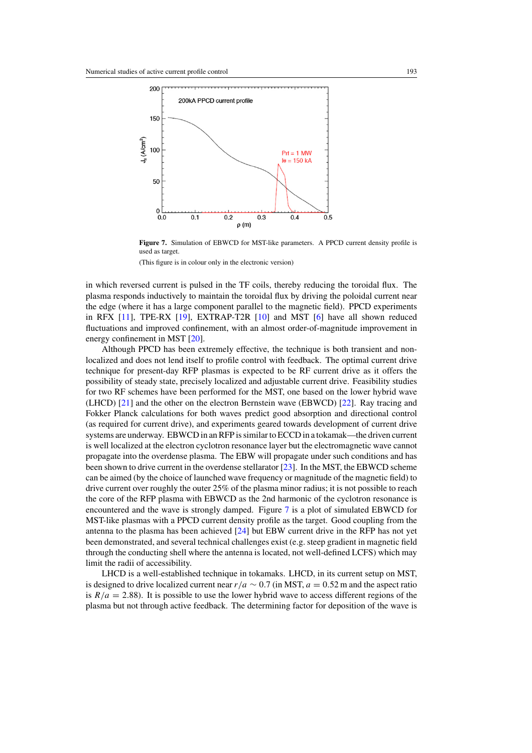<span id="page-11-0"></span>

**Figure 7.** Simulation of EBWCD for MST-like parameters. A PPCD current density profile is used as target.

(This figure is in colour only in the electronic version)

in which reversed current is pulsed in the TF coils, thereby reducing the toroidal flux. The plasma responds inductively to maintain the toroidal flux by driving the poloidal current near the edge (where it has a large component parallel to the magnetic field). PPCD experiments in RFX [\[11\]](#page-13-6), TPE-RX [\[19\]](#page-13-14), EXTRAP-T2R [\[10\]](#page-13-15) and MST [\[6\]](#page-13-5) have all shown reduced fluctuations and improved confinement, with an almost order-of-magnitude improvement in energy confinement in MST [\[20\]](#page-13-16).

Although PPCD has been extremely effective, the technique is both transient and nonlocalized and does not lend itself to profile control with feedback. The optimal current drive technique for present-day RFP plasmas is expected to be RF current drive as it offers the possibility of steady state, precisely localized and adjustable current drive. Feasibility studies for two RF schemes have been performed for the MST, one based on the lower hybrid wave (LHCD) [\[21\]](#page-13-17) and the other on the electron Bernstein wave (EBWCD) [\[22\]](#page-13-18). Ray tracing and Fokker Planck calculations for both waves predict good absorption and directional control (as required for current drive), and experiments geared towards development of current drive systems are underway. EBWCD in an RFP is similar to ECCD in a tokamak—the driven current is well localized at the electron cyclotron resonance layer but the electromagnetic wave cannot propagate into the overdense plasma. The EBW will propagate under such conditions and has been shown to drive current in the overdense stellarator [\[23\]](#page-13-19). In the MST, the EBWCD scheme can be aimed (by the choice of launched wave frequency or magnitude of the magnetic field) to drive current over roughly the outer 25% of the plasma minor radius; it is not possible to reach the core of the RFP plasma with EBWCD as the 2nd harmonic of the cyclotron resonance is encountered and the wave is strongly damped. Figure [7](#page-11-0) is a plot of simulated EBWCD for MST-like plasmas with a PPCD current density profile as the target. Good coupling from the antenna to the plasma has been achieved [\[24\]](#page-13-20) but EBW current drive in the RFP has not yet been demonstrated, and several technical challenges exist (e.g. steep gradient in magnetic field through the conducting shell where the antenna is located, not well-defined LCFS) which may limit the radii of accessibility.

LHCD is a well-established technique in tokamaks. LHCD, in its current setup on MST, is designed to drive localized current near  $r/a \sim 0.7$  (in MST,  $a = 0.52$  m and the aspect ratio is  $R/a = 2.88$ ). It is possible to use the lower hybrid wave to access different regions of the plasma but not through active feedback. The determining factor for deposition of the wave is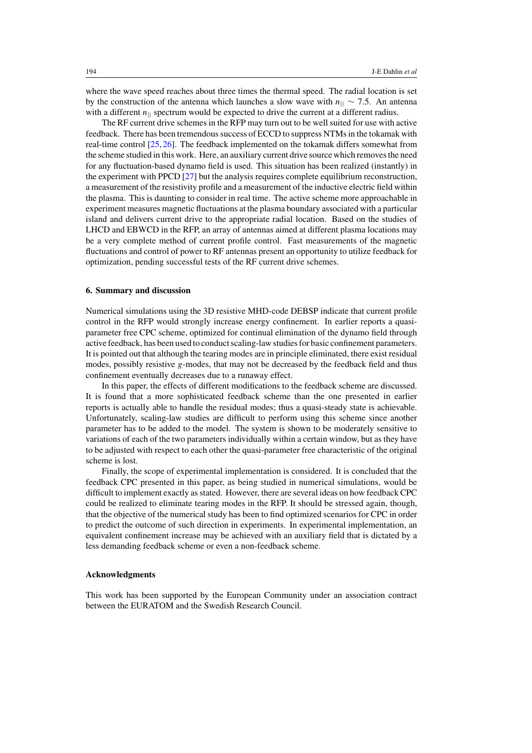where the wave speed reaches about three times the thermal speed. The radial location is set by the construction of the antenna which launches a slow wave with  $n_{\parallel} \sim 7.5$ . An antenna with a different  $n_{\parallel}$  spectrum would be expected to drive the current at a different radius.

The RF current drive schemes in the RFP may turn out to be well suited for use with active feedback. There has been tremendous success of ECCD to suppress NTMs in the tokamak with real-time control [\[25,](#page-13-21) [26\]](#page-13-22). The feedback implemented on the tokamak differs somewhat from the scheme studied in this work. Here, an auxiliary current drive source which removes the need for any fluctuation-based dynamo field is used. This situation has been realized (instantly) in the experiment with PPCD [\[27\]](#page-13-23) but the analysis requires complete equilibrium reconstruction, a measurement of the resistivity profile and a measurement of the inductive electric field within the plasma. This is daunting to consider in real time. The active scheme more approachable in experiment measures magnetic fluctuations at the plasma boundary associated with a particular island and delivers current drive to the appropriate radial location. Based on the studies of LHCD and EBWCD in the RFP, an array of antennas aimed at different plasma locations may be a very complete method of current profile control. Fast measurements of the magnetic fluctuations and control of power to RF antennas present an opportunity to utilize feedback for optimization, pending successful tests of the RF current drive schemes.

### **6. Summary and discussion**

Numerical simulations using the 3D resistive MHD-code DEBSP indicate that current profile control in the RFP would strongly increase energy confinement. In earlier reports a quasiparameter free CPC scheme, optimized for continual elimination of the dynamo field through active feedback, has been used to conduct scaling-law studies for basic confinement parameters. It is pointed out that although the tearing modes are in principle eliminated, there exist residual modes, possibly resistive  $g$ -modes, that may not be decreased by the feedback field and thus confinement eventually decreases due to a runaway effect.

In this paper, the effects of different modifications to the feedback scheme are discussed. It is found that a more sophisticated feedback scheme than the one presented in earlier reports is actually able to handle the residual modes; thus a quasi-steady state is achievable. Unfortunately, scaling-law studies are difficult to perform using this scheme since another parameter has to be added to the model. The system is shown to be moderately sensitive to variations of each of the two parameters individually within a certain window, but as they have to be adjusted with respect to each other the quasi-parameter free characteristic of the original scheme is lost.

Finally, the scope of experimental implementation is considered. It is concluded that the feedback CPC presented in this paper, as being studied in numerical simulations, would be difficult to implement exactly as stated. However, there are several ideas on how feedback CPC could be realized to eliminate tearing modes in the RFP. It should be stressed again, though, that the objective of the numerical study has been to find optimized scenarios for CPC in order to predict the outcome of such direction in experiments. In experimental implementation, an equivalent confinement increase may be achieved with an auxiliary field that is dictated by a less demanding feedback scheme or even a non-feedback scheme.

#### **Acknowledgments**

This work has been supported by the European Community under an association contract between the EURATOM and the Swedish Research Council.